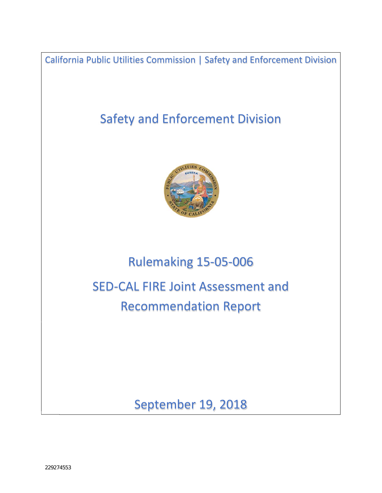California Public Utilities Commission | Safety and Enforcement Division

# Safety and Enforcement Division



# Rulemaking 15‐05‐006

SED‐CAL FIRE Joint Assessment and Recommendation Report

September 19, 2018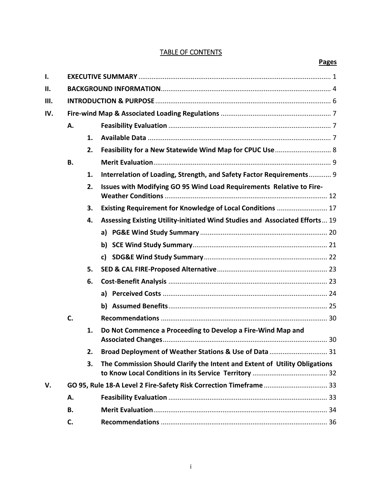# TABLE OF CONTENTS

| I.  |           |    |                                                                             |  |
|-----|-----------|----|-----------------------------------------------------------------------------|--|
| Ш.  |           |    |                                                                             |  |
| Ш.  |           |    |                                                                             |  |
| IV. |           |    |                                                                             |  |
|     | Α.        |    |                                                                             |  |
|     |           | 1. |                                                                             |  |
|     |           | 2. | Feasibility for a New Statewide Wind Map for CPUC Use  8                    |  |
|     | <b>B.</b> |    |                                                                             |  |
|     |           | 1. | Interrelation of Loading, Strength, and Safety Factor Requirements 9        |  |
|     |           | 2. | Issues with Modifying GO 95 Wind Load Requirements Relative to Fire-        |  |
|     |           | 3. | Existing Requirement for Knowledge of Local Conditions  17                  |  |
|     |           | 4. | Assessing Existing Utility-initiated Wind Studies and Associated Efforts 19 |  |
|     |           |    |                                                                             |  |
|     |           |    |                                                                             |  |
|     |           |    |                                                                             |  |
|     |           | 5. |                                                                             |  |
|     |           | 6. |                                                                             |  |
|     |           |    |                                                                             |  |
|     |           |    |                                                                             |  |
|     | C.        |    |                                                                             |  |
|     |           | 1. | Do Not Commence a Proceeding to Develop a Fire-Wind Map and                 |  |
|     |           | 2. | Broad Deployment of Weather Stations & Use of Data  31                      |  |
|     |           | 3. | The Commission Should Clarify the Intent and Extent of Utility Obligations  |  |
| V.  |           |    | GO 95, Rule 18-A Level 2 Fire-Safety Risk Correction Timeframe  33          |  |
|     | Α.        |    |                                                                             |  |
|     | В.        |    |                                                                             |  |
|     | C.        |    |                                                                             |  |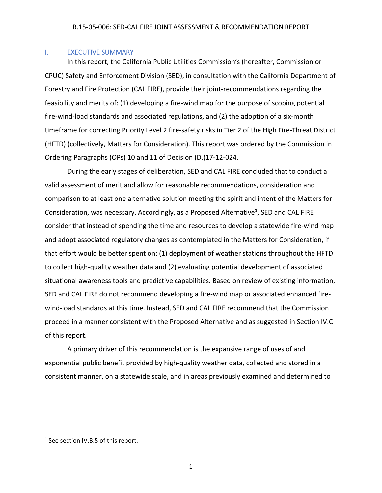# I. EXECUTIVE SUMMARY

In this report, the California Public Utilities Commission's (hereafter, Commission or CPUC) Safety and Enforcement Division (SED), in consultation with the California Department of Forestry and Fire Protection (CAL FIRE), provide their joint‐recommendations regarding the feasibility and merits of: (1) developing a fire‐wind map for the purpose of scoping potential fire-wind-load standards and associated regulations, and (2) the adoption of a six-month timeframe for correcting Priority Level 2 fire‐safety risks in Tier 2 of the High Fire‐Threat District (HFTD) (collectively, Matters for Consideration). This report was ordered by the Commission in Ordering Paragraphs (OPs) 10 and 11 of Decision (D.)17‐12‐024.

During the early stages of deliberation, SED and CAL FIRE concluded that to conduct a valid assessment of merit and allow for reasonable recommendations, consideration and comparison to at least one alternative solution meeting the spirit and intent of the Matters for Consideration, was necessary. Accordingly, as a Proposed Alternative**<sup>1</sup>** , SED and CAL FIRE consider that instead of spending the time and resources to develop a statewide fire-wind map and adopt associated regulatory changes as contemplated in the Matters for Consideration, if that effort would be better spent on: (1) deployment of weather stations throughout the HFTD to collect high-quality weather data and (2) evaluating potential development of associated situational awareness tools and predictive capabilities. Based on review of existing information, SED and CAL FIRE do not recommend developing a fire‐wind map or associated enhanced fire‐ wind-load standards at this time. Instead, SED and CAL FIRE recommend that the Commission proceed in a manner consistent with the Proposed Alternative and as suggested in Section IV.C of this report.

A primary driver of this recommendation is the expansive range of uses of and exponential public benefit provided by high‐quality weather data, collected and stored in a consistent manner, on a statewide scale, and in areas previously examined and determined to

 **<sup>1</sup>** See section IV.B.5 of this report.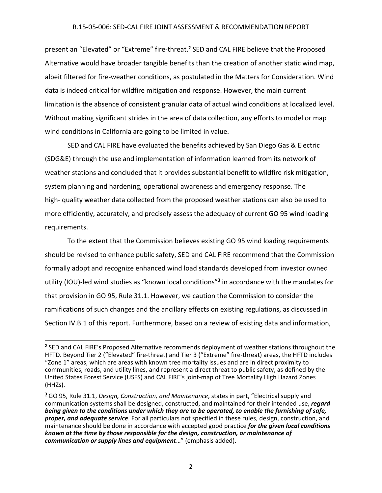present an "Elevated" or "Extreme" fire‐threat.**<sup>2</sup>** SED and CAL FIRE believe that the Proposed Alternative would have broader tangible benefits than the creation of another static wind map, albeit filtered for fire‐weather conditions, as postulated in the Matters for Consideration. Wind data is indeed critical for wildfire mitigation and response. However, the main current limitation is the absence of consistent granular data of actual wind conditions at localized level. Without making significant strides in the area of data collection, any efforts to model or map wind conditions in California are going to be limited in value.

SED and CAL FIRE have evaluated the benefits achieved by San Diego Gas & Electric (SDG&E) through the use and implementation of information learned from its network of weather stations and concluded that it provides substantial benefit to wildfire risk mitigation, system planning and hardening, operational awareness and emergency response. The high- quality weather data collected from the proposed weather stations can also be used to more efficiently, accurately, and precisely assess the adequacy of current GO 95 wind loading requirements.

To the extent that the Commission believes existing GO 95 wind loading requirements should be revised to enhance public safety, SED and CAL FIRE recommend that the Commission formally adopt and recognize enhanced wind load standards developed from investor owned utility (IOU)‐led wind studies as "known local conditions"**<sup>3</sup>** in accordance with the mandates for that provision in GO 95, Rule 31.1. However, we caution the Commission to consider the ramifications of such changes and the ancillary effects on existing regulations, as discussed in Section IV.B.1 of this report. Furthermore, based on a review of existing data and information,

**<sup>2</sup>** SED and CAL FIRE's Proposed Alternative recommends deployment of weather stations throughout the HFTD. Beyond Tier 2 ("Elevated" fire‐threat) and Tier 3 ("Extreme" fire‐threat) areas, the HFTD includes "Zone 1" areas, which are areas with known tree mortality issues and are in direct proximity to communities, roads, and utility lines, and represent a direct threat to public safety, as defined by the United States Forest Service (USFS) and CAL FIRE's joint‐map of Tree Mortality High Hazard Zones (HHZs).

**<sup>3</sup>** GO 95, Rule 31.1, *Design, Construction, and Maintenance*, states in part, "Electrical supply and communication systems shall be designed, constructed, and maintained for their intended use, *regard* being given to the conditions under which they are to be operated, to enable the furnishing of safe, *proper, and adequate service*. For all particulars not specified in these rules, design, construction, and maintenance should be done in accordance with accepted good practice *for the given local conditions known at the time by those responsible for the design, construction, or maintenance of communication or supply lines and equipment*…" (emphasis added).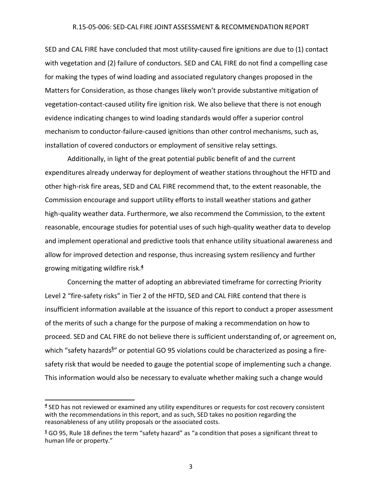SED and CAL FIRE have concluded that most utility‐caused fire ignitions are due to (1) contact with vegetation and (2) failure of conductors. SED and CAL FIRE do not find a compelling case for making the types of wind loading and associated regulatory changes proposed in the Matters for Consideration, as those changes likely won't provide substantive mitigation of vegetation-contact-caused utility fire ignition risk. We also believe that there is not enough evidence indicating changes to wind loading standards would offer a superior control mechanism to conductor‐failure‐caused ignitions than other control mechanisms, such as, installation of covered conductors or employment of sensitive relay settings.

Additionally, in light of the great potential public benefit of and the current expenditures already underway for deployment of weather stations throughout the HFTD and other high‐risk fire areas, SED and CAL FIRE recommend that, to the extent reasonable, the Commission encourage and support utility efforts to install weather stations and gather high-quality weather data. Furthermore, we also recommend the Commission, to the extent reasonable, encourage studies for potential uses of such high‐quality weather data to develop and implement operational and predictive tools that enhance utility situational awareness and allow for improved detection and response, thus increasing system resiliency and further growing mitigating wildfire risk.**<sup>4</sup>**

Concerning the matter of adopting an abbreviated timeframe for correcting Priority Level 2 "fire‐safety risks" in Tier 2 of the HFTD, SED and CAL FIRE contend that there is insufficient information available at the issuance of this report to conduct a proper assessment of the merits of such a change for the purpose of making a recommendation on how to proceed. SED and CAL FIRE do not believe there is sufficient understanding of, or agreement on, which "safety hazards<sup>5</sup>" or potential GO 95 violations could be characterized as posing a firesafety risk that would be needed to gauge the potential scope of implementing such a change. This information would also be necessary to evaluate whether making such a change would

**<sup>4</sup>** SED has not reviewed or examined any utility expenditures or requests for cost recovery consistent with the recommendations in this report, and as such, SED takes no position regarding the reasonableness of any utility proposals or the associated costs.

**<sup>5</sup>** GO 95, Rule 18 defines the term "safety hazard" as "a condition that poses a significant threat to human life or property."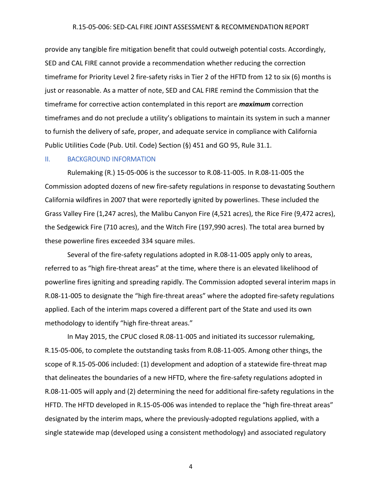provide any tangible fire mitigation benefit that could outweigh potential costs. Accordingly, SED and CAL FIRE cannot provide a recommendation whether reducing the correction timeframe for Priority Level 2 fire-safety risks in Tier 2 of the HFTD from 12 to six (6) months is just or reasonable. As a matter of note, SED and CAL FIRE remind the Commission that the timeframe for corrective action contemplated in this report are *maximum* correction timeframes and do not preclude a utility's obligations to maintain its system in such a manner to furnish the delivery of safe, proper, and adequate service in compliance with California Public Utilities Code (Pub. Util. Code) Section (§) 451 and GO 95, Rule 31.1.

#### II. BACKGROUND INFORMATION

Rulemaking (R.) 15‐05‐006 is the successor to R.08‐11‐005. In R.08‐11‐005 the Commission adopted dozens of new fire‐safety regulations in response to devastating Southern California wildfires in 2007 that were reportedly ignited by powerlines. These included the Grass Valley Fire (1,247 acres), the Malibu Canyon Fire (4,521 acres), the Rice Fire (9,472 acres), the Sedgewick Fire (710 acres), and the Witch Fire (197,990 acres). The total area burned by these powerline fires exceeded 334 square miles.

Several of the fire‐safety regulations adopted in R.08‐11‐005 apply only to areas, referred to as "high fire-threat areas" at the time, where there is an elevated likelihood of powerline fires igniting and spreading rapidly. The Commission adopted several interim maps in R.08‐11‐005 to designate the "high fire‐threat areas" where the adopted fire‐safety regulations applied. Each of the interim maps covered a different part of the State and used its own methodology to identify "high fire-threat areas."

In May 2015, the CPUC closed R.08‐11‐005 and initiated its successor rulemaking, R.15‐05‐006, to complete the outstanding tasks from R.08‐11‐005. Among other things, the scope of R.15-05-006 included: (1) development and adoption of a statewide fire-threat map that delineates the boundaries of a new HFTD, where the fire‐safety regulations adopted in R.08‐11‐005 will apply and (2) determining the need for additional fire‐safety regulations in the HFTD. The HFTD developed in R.15-05-006 was intended to replace the "high fire-threat areas" designated by the interim maps, where the previously‐adopted regulations applied, with a single statewide map (developed using a consistent methodology) and associated regulatory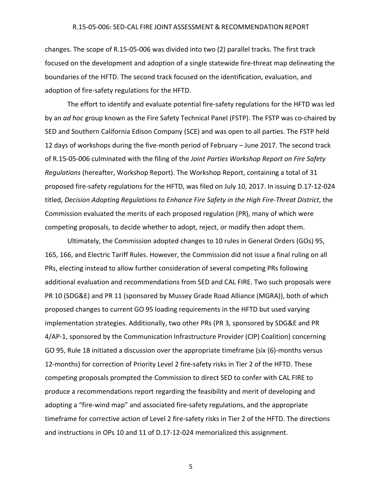changes. The scope of R.15‐05‐006 was divided into two (2) parallel tracks. The first track focused on the development and adoption of a single statewide fire‐threat map delineating the boundaries of the HFTD. The second track focused on the identification, evaluation, and adoption of fire‐safety regulations for the HFTD.

The effort to identify and evaluate potential fire‐safety regulations for the HFTD was led by an *ad hoc* group known as the Fire Safety Technical Panel (FSTP). The FSTP was co‐chaired by SED and Southern California Edison Company (SCE) and was open to all parties. The FSTP held 12 days of workshops during the five-month period of February – June 2017. The second track of R.15‐05‐006 culminated with the filing of the *Joint Parties Workshop Report on Fire Safety Regulations* (hereafter, Workshop Report). The Workshop Report, containing a total of 31 proposed fire‐safety regulations for the HFTD, was filed on July 10, 2017. In issuing D.17‐12‐024 titled, *Decision Adopting Regulations to Enhance Fire Safety in the High Fire‐Threat District*, the Commission evaluated the merits of each proposed regulation (PR), many of which were competing proposals, to decide whether to adopt, reject, or modify then adopt them.

Ultimately, the Commission adopted changes to 10 rules in General Orders (GOs) 95, 165, 166, and Electric Tariff Rules. However, the Commission did not issue a final ruling on all PRs, electing instead to allow further consideration of several competing PRs following additional evaluation and recommendations from SED and CAL FIRE. Two such proposals were PR 10 (SDG&E) and PR 11 (sponsored by Mussey Grade Road Alliance (MGRA)), both of which proposed changes to current GO 95 loading requirements in the HFTD but used varying implementation strategies. Additionally, two other PRs (PR 3, sponsored by SDG&E and PR 4/AP-1, sponsored by the Communication Infrastructure Provider (CIP) Coalition) concerning GO 95, Rule 18 initiated a discussion over the appropriate timeframe (six (6)‐months versus 12-months) for correction of Priority Level 2 fire-safety risks in Tier 2 of the HFTD. These competing proposals prompted the Commission to direct SED to confer with CAL FIRE to produce a recommendations report regarding the feasibility and merit of developing and adopting a "fire-wind map" and associated fire-safety regulations, and the appropriate timeframe for corrective action of Level 2 fire-safety risks in Tier 2 of the HFTD. The directions and instructions in OPs 10 and 11 of D.17‐12‐024 memorialized this assignment.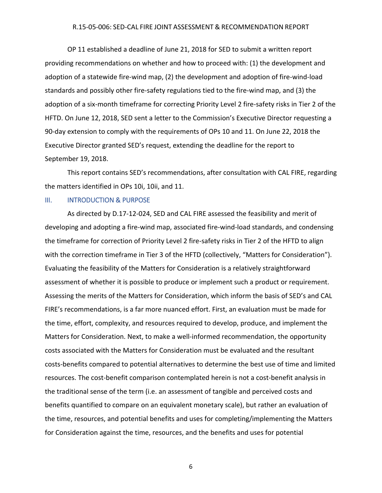OP 11 established a deadline of June 21, 2018 for SED to submit a written report providing recommendations on whether and how to proceed with: (1) the development and adoption of a statewide fire‐wind map, (2) the development and adoption of fire‐wind‐load standards and possibly other fire‐safety regulations tied to the fire‐wind map, and (3) the adoption of a six-month timeframe for correcting Priority Level 2 fire-safety risks in Tier 2 of the HFTD. On June 12, 2018, SED sent a letter to the Commission's Executive Director requesting a 90-day extension to comply with the requirements of OPs 10 and 11. On June 22, 2018 the Executive Director granted SED's request, extending the deadline for the report to September 19, 2018.

This report contains SED's recommendations, after consultation with CAL FIRE, regarding the matters identified in OPs 10i, 10ii, and 11.

#### **III. INTRODUCTION & PURPOSE**

As directed by D.17‐12‐024, SED and CAL FIRE assessed the feasibility and merit of developing and adopting a fire‐wind map, associated fire‐wind‐load standards, and condensing the timeframe for correction of Priority Level 2 fire‐safety risks in Tier 2 of the HFTD to align with the correction timeframe in Tier 3 of the HFTD (collectively, "Matters for Consideration"). Evaluating the feasibility of the Matters for Consideration is a relatively straightforward assessment of whether it is possible to produce or implement such a product or requirement. Assessing the merits of the Matters for Consideration, which inform the basis of SED's and CAL FIRE's recommendations, is a far more nuanced effort. First, an evaluation must be made for the time, effort, complexity, and resources required to develop, produce, and implement the Matters for Consideration. Next, to make a well-informed recommendation, the opportunity costs associated with the Matters for Consideration must be evaluated and the resultant costs‐benefits compared to potential alternatives to determine the best use of time and limited resources. The cost-benefit comparison contemplated herein is not a cost-benefit analysis in the traditional sense of the term (i.e. an assessment of tangible and perceived costs and benefits quantified to compare on an equivalent monetary scale), but rather an evaluation of the time, resources, and potential benefits and uses for completing/implementing the Matters for Consideration against the time, resources, and the benefits and uses for potential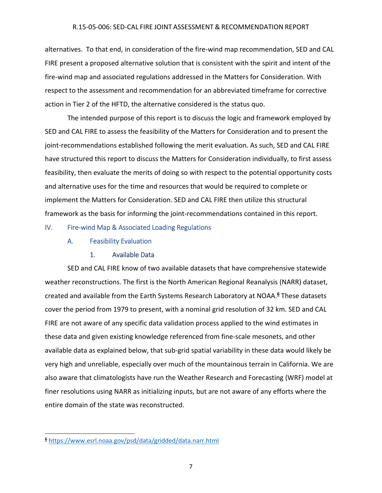alternatives. To that end, in consideration of the fire‐wind map recommendation, SED and CAL FIRE present a proposed alternative solution that is consistent with the spirit and intent of the fire‐wind map and associated regulations addressed in the Matters for Consideration. With respect to the assessment and recommendation for an abbreviated timeframe for corrective action in Tier 2 of the HFTD, the alternative considered is the status quo.

The intended purpose of this report is to discuss the logic and framework employed by SED and CAL FIRE to assess the feasibility of the Matters for Consideration and to present the joint-recommendations established following the merit evaluation. As such, SED and CAL FIRE have structured this report to discuss the Matters for Consideration individually, to first assess feasibility, then evaluate the merits of doing so with respect to the potential opportunity costs and alternative uses for the time and resources that would be required to complete or implement the Matters for Consideration. SED and CAL FIRE then utilize this structural framework as the basis for informing the joint-recommendations contained in this report.

## IV. Fire‐wind Map & Associated Loading Regulations

# A. Feasibility Evaluation

# 1. Available Data

SED and CAL FIRE know of two available datasets that have comprehensive statewide weather reconstructions. The first is the North American Regional Reanalysis (NARR) dataset, created and available from the Earth Systems Research Laboratory at NOAA.**<sup>6</sup>** These datasets cover the period from 1979 to present, with a nominal grid resolution of 32 km. SED and CAL FIRE are not aware of any specific data validation process applied to the wind estimates in these data and given existing knowledge referenced from fine‐scale mesonets, and other available data as explained below, that sub‐grid spatial variability in these data would likely be very high and unreliable, especially over much of the mountainous terrain in California. We are also aware that climatologists have run the Weather Research and Forecasting (WRF) model at finer resolutions using NARR as initializing inputs, but are not aware of any efforts where the entire domain of the state was reconstructed.

**<sup>6</sup>** https://www.esrl.noaa.gov/psd/data/gridded/data.narr.html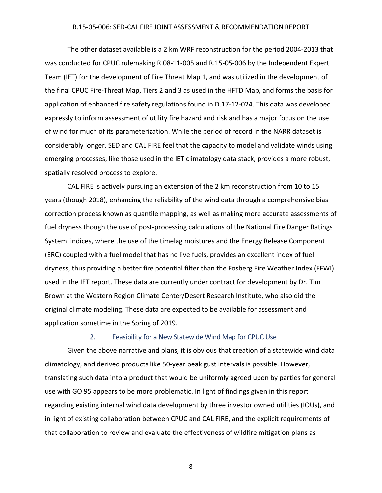The other dataset available is a 2 km WRF reconstruction for the period 2004‐2013 that was conducted for CPUC rulemaking R.08‐11‐005 and R.15‐05‐006 by the Independent Expert Team (IET) for the development of Fire Threat Map 1, and was utilized in the development of the final CPUC Fire‐Threat Map, Tiers 2 and 3 as used in the HFTD Map, and forms the basis for application of enhanced fire safety regulations found in D.17‐12‐024. This data was developed expressly to inform assessment of utility fire hazard and risk and has a major focus on the use of wind for much of its parameterization. While the period of record in the NARR dataset is considerably longer, SED and CAL FIRE feel that the capacity to model and validate winds using emerging processes, like those used in the IET climatology data stack, provides a more robust, spatially resolved process to explore.

CAL FIRE is actively pursuing an extension of the 2 km reconstruction from 10 to 15 years (though 2018), enhancing the reliability of the wind data through a comprehensive bias correction process known as quantile mapping, as well as making more accurate assessments of fuel dryness though the use of post-processing calculations of the National Fire Danger Ratings System indices, where the use of the timelag moistures and the Energy Release Component (ERC) coupled with a fuel model that has no live fuels, provides an excellent index of fuel dryness, thus providing a better fire potential filter than the Fosberg Fire Weather Index (FFWI) used in the IET report. These data are currently under contract for development by Dr. Tim Brown at the Western Region Climate Center/Desert Research Institute, who also did the original climate modeling. These data are expected to be available for assessment and application sometime in the Spring of 2019.

## 2. Feasibility for a New Statewide Wind Map for CPUC Use

Given the above narrative and plans, it is obvious that creation of a statewide wind data climatology, and derived products like 50‐year peak gust intervals is possible. However, translating such data into a product that would be uniformly agreed upon by parties for general use with GO 95 appears to be more problematic. In light of findings given in this report regarding existing internal wind data development by three investor owned utilities (IOUs), and in light of existing collaboration between CPUC and CAL FIRE, and the explicit requirements of that collaboration to review and evaluate the effectiveness of wildfire mitigation plans as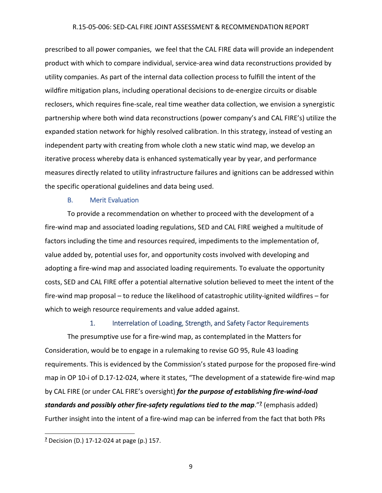prescribed to all power companies, we feel that the CAL FIRE data will provide an independent product with which to compare individual, service‐area wind data reconstructions provided by utility companies. As part of the internal data collection process to fulfill the intent of the wildfire mitigation plans, including operational decisions to de-energize circuits or disable reclosers, which requires fine‐scale, real time weather data collection, we envision a synergistic partnership where both wind data reconstructions (power company's and CAL FIRE's) utilize the expanded station network for highly resolved calibration. In this strategy, instead of vesting an independent party with creating from whole cloth a new static wind map, we develop an iterative process whereby data is enhanced systematically year by year, and performance measures directly related to utility infrastructure failures and ignitions can be addressed within the specific operational guidelines and data being used.

# B. Merit Evaluation

To provide a recommendation on whether to proceed with the development of a fire-wind map and associated loading regulations, SED and CAL FIRE weighed a multitude of factors including the time and resources required, impediments to the implementation of, value added by, potential uses for, and opportunity costs involved with developing and adopting a fire-wind map and associated loading requirements. To evaluate the opportunity costs, SED and CAL FIRE offer a potential alternative solution believed to meet the intent of the fire-wind map proposal – to reduce the likelihood of catastrophic utility-ignited wildfires – for which to weigh resource requirements and value added against.

#### 1. Interrelation of Loading, Strength, and Safety Factor Requirements

The presumptive use for a fire‐wind map, as contemplated in the Matters for Consideration, would be to engage in a rulemaking to revise GO 95, Rule 43 loading requirements. This is evidenced by the Commission's stated purpose for the proposed fire‐wind map in OP 10-i of D.17-12-024, where it states, "The development of a statewide fire-wind map by CAL FIRE (or under CAL FIRE's oversight) *for the purpose of establishing fire‐wind‐load standards and possibly other fire‐safety regulations tied to the map*."**<sup>7</sup>** (emphasis added) Further insight into the intent of a fire‐wind map can be inferred from the fact that both PRs

**<sup>7</sup>** Decision (D.) 17‐12‐024 at page (p.) 157.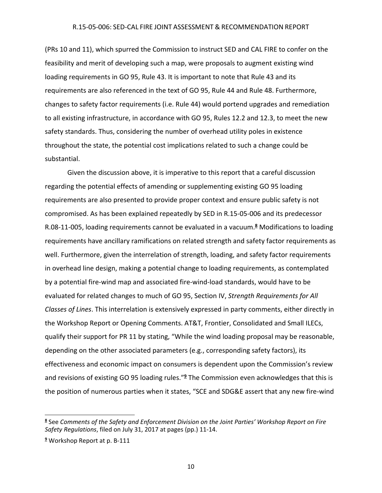(PRs 10 and 11), which spurred the Commission to instruct SED and CAL FIRE to confer on the feasibility and merit of developing such a map, were proposals to augment existing wind loading requirements in GO 95, Rule 43. It is important to note that Rule 43 and its requirements are also referenced in the text of GO 95, Rule 44 and Rule 48. Furthermore, changes to safety factor requirements (i.e. Rule 44) would portend upgrades and remediation to all existing infrastructure, in accordance with GO 95, Rules 12.2 and 12.3, to meet the new safety standards. Thus, considering the number of overhead utility poles in existence throughout the state, the potential cost implications related to such a change could be substantial.

Given the discussion above, it is imperative to this report that a careful discussion regarding the potential effects of amending or supplementing existing GO 95 loading requirements are also presented to provide proper context and ensure public safety is not compromised. As has been explained repeatedly by SED in R.15‐05‐006 and its predecessor R.08‐11‐005, loading requirements cannot be evaluated in a vacuum.**<sup>8</sup>** Modifications to loading requirements have ancillary ramifications on related strength and safety factor requirements as well. Furthermore, given the interrelation of strength, loading, and safety factor requirements in overhead line design, making a potential change to loading requirements, as contemplated by a potential fire‐wind map and associated fire‐wind‐load standards, would have to be evaluated for related changes to much of GO 95, Section IV, *Strength Requirements for All Classes of Lines*. This interrelation is extensively expressed in party comments, either directly in the Workshop Report or Opening Comments. AT&T, Frontier, Consolidated and Small ILECs, qualify their support for PR 11 by stating, "While the wind loading proposal may be reasonable, depending on the other associated parameters (e.g., corresponding safety factors), its effectiveness and economic impact on consumers is dependent upon the Commission's review and revisions of existing GO 95 loading rules."**<sup>9</sup>** The Commission even acknowledges that this is the position of numerous parties when it states, "SCE and SDG&E assert that any new fire‐wind

**<sup>8</sup>** See *Comments of the Safety and Enforcement Division on the Joint Parties' Workshop Report on Fire Safety Regulations*, filed on July 31, 2017 at pages (pp.) 11‐14.

**<sup>9</sup>** Workshop Report at p. B‐111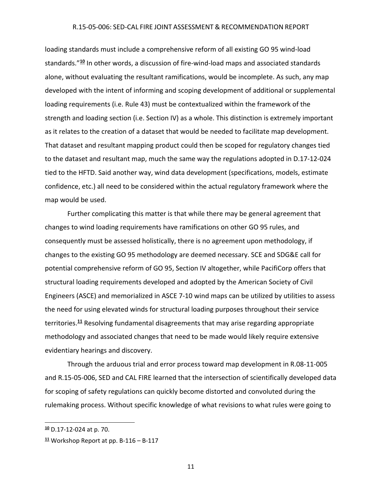loading standards must include a comprehensive reform of all existing GO 95 wind‐load standards."**<sup>10</sup>** In other words, a discussion of fire‐wind‐load maps and associated standards alone, without evaluating the resultant ramifications, would be incomplete. As such, any map developed with the intent of informing and scoping development of additional or supplemental loading requirements (i.e. Rule 43) must be contextualized within the framework of the strength and loading section (i.e. Section IV) as a whole. This distinction is extremely important as it relates to the creation of a dataset that would be needed to facilitate map development. That dataset and resultant mapping product could then be scoped for regulatory changes tied to the dataset and resultant map, much the same way the regulations adopted in D.17‐12‐024 tied to the HFTD. Said another way, wind data development (specifications, models, estimate confidence, etc.) all need to be considered within the actual regulatory framework where the map would be used.

Further complicating this matter is that while there may be general agreement that changes to wind loading requirements have ramifications on other GO 95 rules, and consequently must be assessed holistically, there is no agreement upon methodology, if changes to the existing GO 95 methodology are deemed necessary. SCE and SDG&E call for potential comprehensive reform of GO 95, Section IV altogether, while PacifiCorp offers that structural loading requirements developed and adopted by the American Society of Civil Engineers (ASCE) and memorialized in ASCE 7‐10 wind maps can be utilized by utilities to assess the need for using elevated winds for structural loading purposes throughout their service territories.**<sup>11</sup>** Resolving fundamental disagreements that may arise regarding appropriate methodology and associated changes that need to be made would likely require extensive evidentiary hearings and discovery.

Through the arduous trial and error process toward map development in R.08‐11‐005 and R.15‐05‐006, SED and CAL FIRE learned that the intersection of scientifically developed data for scoping of safety regulations can quickly become distorted and convoluted during the rulemaking process. Without specific knowledge of what revisions to what rules were going to

**<sup>10</sup>** D.17‐12‐024 at p. 70.

**<sup>11</sup>** Workshop Report at pp. B‐116 – B‐117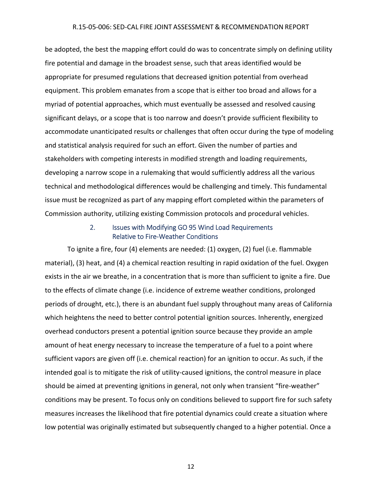be adopted, the best the mapping effort could do was to concentrate simply on defining utility fire potential and damage in the broadest sense, such that areas identified would be appropriate for presumed regulations that decreased ignition potential from overhead equipment. This problem emanates from a scope that is either too broad and allows for a myriad of potential approaches, which must eventually be assessed and resolved causing significant delays, or a scope that is too narrow and doesn't provide sufficient flexibility to accommodate unanticipated results or challenges that often occur during the type of modeling and statistical analysis required for such an effort. Given the number of parties and stakeholders with competing interests in modified strength and loading requirements, developing a narrow scope in a rulemaking that would sufficiently address all the various technical and methodological differences would be challenging and timely. This fundamental issue must be recognized as part of any mapping effort completed within the parameters of Commission authority, utilizing existing Commission protocols and procedural vehicles.

# 2. Issues with Modifying GO 95 Wind Load Requirements Relative to Fire‐Weather Conditions

To ignite a fire, four (4) elements are needed: (1) oxygen, (2) fuel (i.e. flammable material), (3) heat, and (4) a chemical reaction resulting in rapid oxidation of the fuel. Oxygen exists in the air we breathe, in a concentration that is more than sufficient to ignite a fire. Due to the effects of climate change (i.e. incidence of extreme weather conditions, prolonged periods of drought, etc.), there is an abundant fuel supply throughout many areas of California which heightens the need to better control potential ignition sources. Inherently, energized overhead conductors present a potential ignition source because they provide an ample amount of heat energy necessary to increase the temperature of a fuel to a point where sufficient vapors are given off (i.e. chemical reaction) for an ignition to occur. As such, if the intended goal is to mitigate the risk of utility-caused ignitions, the control measure in place should be aimed at preventing ignitions in general, not only when transient "fire-weather" conditions may be present. To focus only on conditions believed to support fire for such safety measures increases the likelihood that fire potential dynamics could create a situation where low potential was originally estimated but subsequently changed to a higher potential. Once a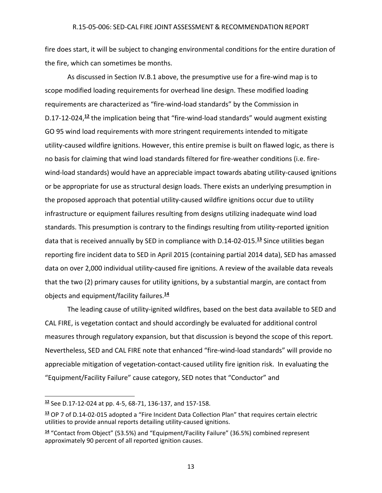fire does start, it will be subject to changing environmental conditions for the entire duration of the fire, which can sometimes be months.

As discussed in Section IV.B.1 above, the presumptive use for a fire‐wind map is to scope modified loading requirements for overhead line design. These modified loading requirements are characterized as "fire‐wind‐load standards" by the Commission in D.17-12-024,<sup>12</sup> the implication being that "fire-wind-load standards" would augment existing GO 95 wind load requirements with more stringent requirements intended to mitigate utility‐caused wildfire ignitions. However, this entire premise is built on flawed logic, as there is no basis for claiming that wind load standards filtered for fire-weather conditions (i.e. firewind-load standards) would have an appreciable impact towards abating utility-caused ignitions or be appropriate for use as structural design loads. There exists an underlying presumption in the proposed approach that potential utility‐caused wildfire ignitions occur due to utility infrastructure or equipment failures resulting from designs utilizing inadequate wind load standards. This presumption is contrary to the findings resulting from utility‐reported ignition data that is received annually by SED in compliance with D.14‐02‐015.**<sup>13</sup>** Since utilities began reporting fire incident data to SED in April 2015 (containing partial 2014 data), SED has amassed data on over 2,000 individual utility-caused fire ignitions. A review of the available data reveals that the two (2) primary causes for utility ignitions, by a substantial margin, are contact from objects and equipment/facility failures.**<sup>14</sup>**

The leading cause of utility‐ignited wildfires, based on the best data available to SED and CAL FIRE, is vegetation contact and should accordingly be evaluated for additional control measures through regulatory expansion, but that discussion is beyond the scope of this report. Nevertheless, SED and CAL FIRE note that enhanced "fire‐wind‐load standards" will provide no appreciable mitigation of vegetation-contact-caused utility fire ignition risk. In evaluating the "Equipment/Facility Failure" cause category, SED notes that "Conductor" and

**<sup>12</sup>** See D.17‐12‐024 at pp. 4‐5, 68‐71, 136‐137, and 157‐158.

**<sup>13</sup>** OP 7 of D.14‐02‐015 adopted a "Fire Incident Data Collection Plan" that requires certain electric utilities to provide annual reports detailing utility‐caused ignitions.

**<sup>14</sup>** "Contact from Object" (53.5%) and "Equipment/Facility Failure" (36.5%) combined represent approximately 90 percent of all reported ignition causes.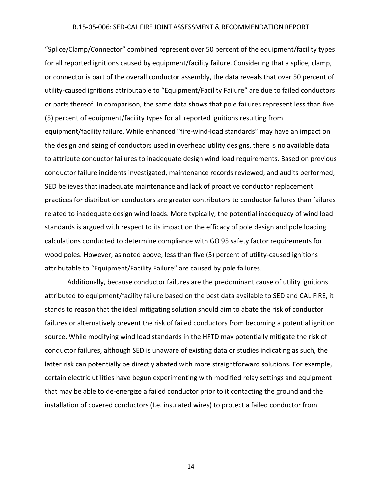"Splice/Clamp/Connector" combined represent over 50 percent of the equipment/facility types for all reported ignitions caused by equipment/facility failure. Considering that a splice, clamp, or connector is part of the overall conductor assembly, the data reveals that over 50 percent of utility‐caused ignitions attributable to "Equipment/Facility Failure" are due to failed conductors or parts thereof. In comparison, the same data shows that pole failures represent less than five (5) percent of equipment/facility types for all reported ignitions resulting from equipment/facility failure. While enhanced "fire‐wind‐load standards" may have an impact on the design and sizing of conductors used in overhead utility designs, there is no available data to attribute conductor failures to inadequate design wind load requirements. Based on previous conductor failure incidents investigated, maintenance records reviewed, and audits performed, SED believes that inadequate maintenance and lack of proactive conductor replacement practices for distribution conductors are greater contributors to conductor failures than failures related to inadequate design wind loads. More typically, the potential inadequacy of wind load standards is argued with respect to its impact on the efficacy of pole design and pole loading calculations conducted to determine compliance with GO 95 safety factor requirements for wood poles. However, as noted above, less than five (5) percent of utility-caused ignitions attributable to "Equipment/Facility Failure" are caused by pole failures.

Additionally, because conductor failures are the predominant cause of utility ignitions attributed to equipment/facility failure based on the best data available to SED and CAL FIRE, it stands to reason that the ideal mitigating solution should aim to abate the risk of conductor failures or alternatively prevent the risk of failed conductors from becoming a potential ignition source. While modifying wind load standards in the HFTD may potentially mitigate the risk of conductor failures, although SED is unaware of existing data or studies indicating as such, the latter risk can potentially be directly abated with more straightforward solutions. For example, certain electric utilities have begun experimenting with modified relay settings and equipment that may be able to de‐energize a failed conductor prior to it contacting the ground and the installation of covered conductors (I.e. insulated wires) to protect a failed conductor from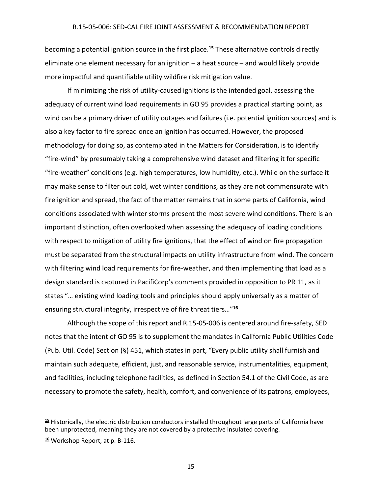becoming a potential ignition source in the first place.**<sup>15</sup>** These alternative controls directly eliminate one element necessary for an ignition – a heat source – and would likely provide more impactful and quantifiable utility wildfire risk mitigation value.

If minimizing the risk of utility-caused ignitions is the intended goal, assessing the adequacy of current wind load requirements in GO 95 provides a practical starting point, as wind can be a primary driver of utility outages and failures (i.e. potential ignition sources) and is also a key factor to fire spread once an ignition has occurred. However, the proposed methodology for doing so, as contemplated in the Matters for Consideration, is to identify "fire‐wind" by presumably taking a comprehensive wind dataset and filtering it for specific "fire‐weather" conditions (e.g. high temperatures, low humidity, etc.). While on the surface it may make sense to filter out cold, wet winter conditions, as they are not commensurate with fire ignition and spread, the fact of the matter remains that in some parts of California, wind conditions associated with winter storms present the most severe wind conditions. There is an important distinction, often overlooked when assessing the adequacy of loading conditions with respect to mitigation of utility fire ignitions, that the effect of wind on fire propagation must be separated from the structural impacts on utility infrastructure from wind. The concern with filtering wind load requirements for fire-weather, and then implementing that load as a design standard is captured in PacifiCorp's comments provided in opposition to PR 11, as it states "… existing wind loading tools and principles should apply universally as a matter of ensuring structural integrity, irrespective of fire threat tiers…"**<sup>16</sup>**

Although the scope of this report and R.15‐05‐006 is centered around fire‐safety, SED notes that the intent of GO 95 is to supplement the mandates in California Public Utilities Code (Pub. Util. Code) Section (§) 451, which states in part, "Every public utility shall furnish and maintain such adequate, efficient, just, and reasonable service, instrumentalities, equipment, and facilities, including telephone facilities, as defined in Section 54.1 of the Civil Code, as are necessary to promote the safety, health, comfort, and convenience of its patrons, employees,

**<sup>15</sup>** Historically, the electric distribution conductors installed throughout large parts of California have been unprotected, meaning they are not covered by a protective insulated covering.

**<sup>16</sup>** Workshop Report, at p. B‐116.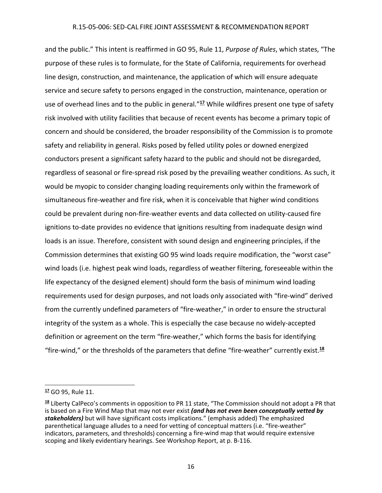and the public." This intent is reaffirmed in GO 95, Rule 11, *Purpose of Rules*, which states, "The purpose of these rules is to formulate, for the State of California, requirements for overhead line design, construction, and maintenance, the application of which will ensure adequate service and secure safety to persons engaged in the construction, maintenance, operation or use of overhead lines and to the public in general."**<sup>17</sup>** While wildfires present one type of safety risk involved with utility facilities that because of recent events has become a primary topic of concern and should be considered, the broader responsibility of the Commission is to promote safety and reliability in general. Risks posed by felled utility poles or downed energized conductors present a significant safety hazard to the public and should not be disregarded, regardless of seasonal or fire‐spread risk posed by the prevailing weather conditions. As such, it would be myopic to consider changing loading requirements only within the framework of simultaneous fire-weather and fire risk, when it is conceivable that higher wind conditions could be prevalent during non‐fire‐weather events and data collected on utility‐caused fire ignitions to‐date provides no evidence that ignitions resulting from inadequate design wind loads is an issue. Therefore, consistent with sound design and engineering principles, if the Commission determines that existing GO 95 wind loads require modification, the "worst case" wind loads (i.e. highest peak wind loads, regardless of weather filtering, foreseeable within the life expectancy of the designed element) should form the basis of minimum wind loading requirements used for design purposes, and not loads only associated with "fire‐wind" derived from the currently undefined parameters of "fire-weather," in order to ensure the structural integrity of the system as a whole. This is especially the case because no widely‐accepted definition or agreement on the term "fire‐weather," which forms the basis for identifying "fire‐wind," or the thresholds of the parameters that define "fire‐weather" currently exist.**<sup>18</sup>**

**<sup>17</sup>** GO 95, Rule 11.

**<sup>18</sup>** Liberty CalPeco's comments in opposition to PR 11 state, "The Commission should not adopt a PR that is based on a Fire Wind Map that may not ever exist *(and has not even been conceptually vetted by stakeholders)* but will have significant costs implications." (emphasis added) The emphasized parenthetical language alludes to a need for vetting of conceptual matters (i.e. "fire‐weather" indicators, parameters, and thresholds) concerning a fire‐wind map that would require extensive scoping and likely evidentiary hearings. See Workshop Report, at p. B‐116.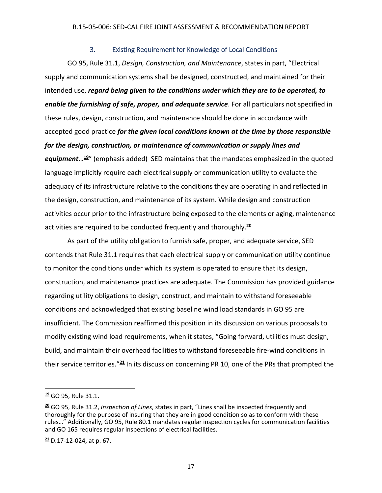#### 3. Existing Requirement for Knowledge of Local Conditions

GO 95, Rule 31.1, *Design, Construction, and Maintenance*, states in part, "Electrical supply and communication systems shall be designed, constructed, and maintained for their intended use, *regard being given to the conditions under which they are to be operated, to enable the furnishing of safe, proper, and adequate service*. For all particulars not specified in these rules, design, construction, and maintenance should be done in accordance with accepted good practice *for the given local conditions known at the time by those responsible for the design, construction, or maintenance of communication or supply lines and equipment*…**<sup>19</sup>**" (emphasis added) SED maintains that the mandates emphasized in the quoted language implicitly require each electrical supply or communication utility to evaluate the adequacy of its infrastructure relative to the conditions they are operating in and reflected in the design, construction, and maintenance of its system. While design and construction activities occur prior to the infrastructure being exposed to the elements or aging, maintenance activities are required to be conducted frequently and thoroughly.**<sup>20</sup>**

As part of the utility obligation to furnish safe, proper, and adequate service, SED contends that Rule 31.1 requires that each electrical supply or communication utility continue to monitor the conditions under which its system is operated to ensure that its design, construction, and maintenance practices are adequate. The Commission has provided guidance regarding utility obligations to design, construct, and maintain to withstand foreseeable conditions and acknowledged that existing baseline wind load standards in GO 95 are insufficient. The Commission reaffirmed this position in its discussion on various proposals to modify existing wind load requirements, when it states, "Going forward, utilities must design, build, and maintain their overhead facilities to withstand foreseeable fire‐wind conditions in their service territories."**<sup>21</sup>** In its discussion concerning PR 10, one of the PRs that prompted the

**<sup>19</sup>** GO 95, Rule 31.1.

**<sup>20</sup>** GO 95, Rule 31.2, *Inspection of Lines*, states in part, "Lines shall be inspected frequently and thoroughly for the purpose of insuring that they are in good condition so as to conform with these rules…" Additionally, GO 95, Rule 80.1 mandates regular inspection cycles for communication facilities and GO 165 requires regular inspections of electrical facilities.

**<sup>21</sup>** D.17‐12‐024, at p. 67.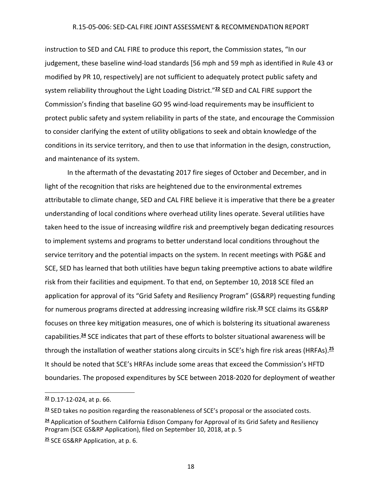instruction to SED and CAL FIRE to produce this report, the Commission states, "In our judgement, these baseline wind-load standards [56 mph and 59 mph as identified in Rule 43 or modified by PR 10, respectively] are not sufficient to adequately protect public safety and system reliability throughout the Light Loading District."**<sup>22</sup>** SED and CAL FIRE support the Commission's finding that baseline GO 95 wind‐load requirements may be insufficient to protect public safety and system reliability in parts of the state, and encourage the Commission to consider clarifying the extent of utility obligations to seek and obtain knowledge of the conditions in its service territory, and then to use that information in the design, construction, and maintenance of its system.

In the aftermath of the devastating 2017 fire sieges of October and December, and in light of the recognition that risks are heightened due to the environmental extremes attributable to climate change, SED and CAL FIRE believe it is imperative that there be a greater understanding of local conditions where overhead utility lines operate. Several utilities have taken heed to the issue of increasing wildfire risk and preemptively began dedicating resources to implement systems and programs to better understand local conditions throughout the service territory and the potential impacts on the system. In recent meetings with PG&E and SCE, SED has learned that both utilities have begun taking preemptive actions to abate wildfire risk from their facilities and equipment. To that end, on September 10, 2018 SCE filed an application for approval of its "Grid Safety and Resiliency Program" (GS&RP) requesting funding for numerous programs directed at addressing increasing wildfire risk.**<sup>23</sup>** SCE claims its GS&RP focuses on three key mitigation measures, one of which is bolstering its situational awareness capabilities.**<sup>24</sup>** SCE indicates that part of these efforts to bolster situational awareness will be through the installation of weather stations along circuits in SCE's high fire risk areas (HRFAs).**<sup>25</sup>** It should be noted that SCE's HRFAs include some areas that exceed the Commission's HFTD boundaries. The proposed expenditures by SCE between 2018‐2020 for deployment of weather

**<sup>22</sup>** D.17‐12‐024, at p. 66.

**<sup>23</sup>** SED takes no position regarding the reasonableness of SCE's proposal or the associated costs.

**<sup>24</sup>** Application of Southern California Edison Company for Approval of its Grid Safety and Resiliency Program (SCE GS&RP Application), filed on September 10, 2018, at p. 5

**<sup>25</sup>** SCE GS&RP Application, at p. 6.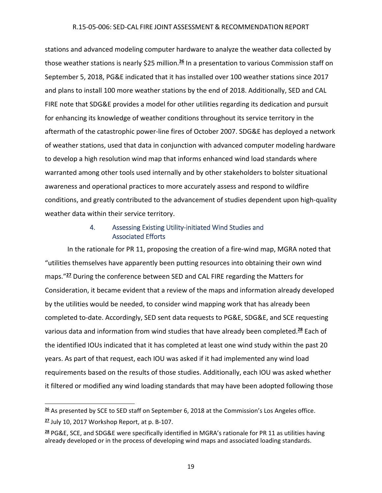stations and advanced modeling computer hardware to analyze the weather data collected by those weather stations is nearly \$25 million.**<sup>26</sup>** In a presentation to various Commission staff on September 5, 2018, PG&E indicated that it has installed over 100 weather stations since 2017 and plans to install 100 more weather stations by the end of 2018. Additionally, SED and CAL FIRE note that SDG&E provides a model for other utilities regarding its dedication and pursuit for enhancing its knowledge of weather conditions throughout its service territory in the aftermath of the catastrophic power‐line fires of October 2007. SDG&E has deployed a network of weather stations, used that data in conjunction with advanced computer modeling hardware to develop a high resolution wind map that informs enhanced wind load standards where warranted among other tools used internally and by other stakeholders to bolster situational awareness and operational practices to more accurately assess and respond to wildfire conditions, and greatly contributed to the advancement of studies dependent upon high‐quality weather data within their service territory.

# 4. Assessing Existing Utility‐initiated Wind Studies and Associated Efforts

In the rationale for PR 11, proposing the creation of a fire-wind map, MGRA noted that "utilities themselves have apparently been putting resources into obtaining their own wind maps."**<sup>27</sup>** During the conference between SED and CAL FIRE regarding the Matters for Consideration, it became evident that a review of the maps and information already developed by the utilities would be needed, to consider wind mapping work that has already been completed to‐date. Accordingly, SED sent data requests to PG&E, SDG&E, and SCE requesting various data and information from wind studies that have already been completed.**<sup>28</sup>** Each of the identified IOUs indicated that it has completed at least one wind study within the past 20 years. As part of that request, each IOU was asked if it had implemented any wind load requirements based on the results of those studies. Additionally, each IOU was asked whether it filtered or modified any wind loading standards that may have been adopted following those

**<sup>26</sup>** As presented by SCE to SED staff on September 6, 2018 at the Commission's Los Angeles office.

**<sup>27</sup>** July 10, 2017 Workshop Report, at p. B‐107.

**<sup>28</sup>** PG&E, SCE, and SDG&E were specifically identified in MGRA's rationale for PR 11 as utilities having already developed or in the process of developing wind maps and associated loading standards.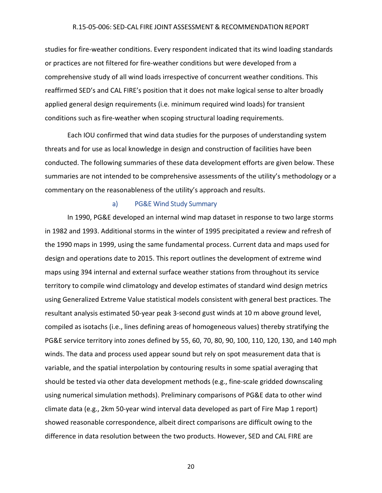studies for fire‐weather conditions. Every respondent indicated that its wind loading standards or practices are not filtered for fire‐weather conditions but were developed from a comprehensive study of all wind loads irrespective of concurrent weather conditions. This reaffirmed SED's and CAL FIRE's position that it does not make logical sense to alter broadly applied general design requirements (i.e. minimum required wind loads) for transient conditions such as fire‐weather when scoping structural loading requirements.

Each IOU confirmed that wind data studies for the purposes of understanding system threats and for use as local knowledge in design and construction of facilities have been conducted. The following summaries of these data development efforts are given below. These summaries are not intended to be comprehensive assessments of the utility's methodology or a commentary on the reasonableness of the utility's approach and results.

#### a) PG&E Wind Study Summary

In 1990, PG&E developed an internal wind map dataset in response to two large storms in 1982 and 1993. Additional storms in the winter of 1995 precipitated a review and refresh of the 1990 maps in 1999, using the same fundamental process. Current data and maps used for design and operations date to 2015. This report outlines the development of extreme wind maps using 394 internal and external surface weather stations from throughout its service territory to compile wind climatology and develop estimates of standard wind design metrics using Generalized Extreme Value statistical models consistent with general best practices. The resultant analysis estimated 50‐year peak 3‐second gust winds at 10 m above ground level, compiled as isotachs (i.e., lines defining areas of homogeneous values) thereby stratifying the PG&E service territory into zones defined by 55, 60, 70, 80, 90, 100, 110, 120, 130, and 140 mph winds. The data and process used appear sound but rely on spot measurement data that is variable, and the spatial interpolation by contouring results in some spatial averaging that should be tested via other data development methods (e.g., fine‐scale gridded downscaling using numerical simulation methods). Preliminary comparisons of PG&E data to other wind climate data (e.g., 2km 50‐year wind interval data developed as part of Fire Map 1 report) showed reasonable correspondence, albeit direct comparisons are difficult owing to the difference in data resolution between the two products. However, SED and CAL FIRE are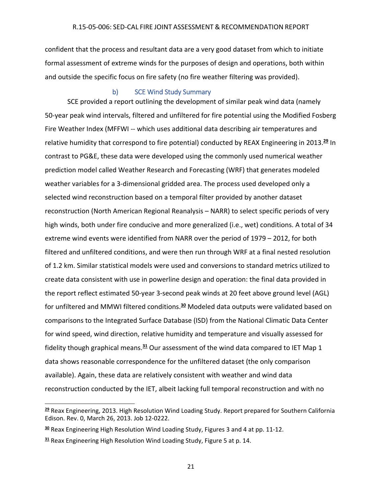confident that the process and resultant data are a very good dataset from which to initiate formal assessment of extreme winds for the purposes of design and operations, both within and outside the specific focus on fire safety (no fire weather filtering was provided).

## b) SCE Wind Study Summary

SCE provided a report outlining the development of similar peak wind data (namely 50‐year peak wind intervals, filtered and unfiltered for fire potential using the Modified Fosberg Fire Weather Index (MFFWI -- which uses additional data describing air temperatures and relative humidity that correspond to fire potential) conducted by REAX Engineering in 2013.**<sup>29</sup>** In contrast to PG&E, these data were developed using the commonly used numerical weather prediction model called Weather Research and Forecasting (WRF) that generates modeled weather variables for a 3‐dimensional gridded area. The process used developed only a selected wind reconstruction based on a temporal filter provided by another dataset reconstruction (North American Regional Reanalysis – NARR) to select specific periods of very high winds, both under fire conducive and more generalized (i.e., wet) conditions. A total of 34 extreme wind events were identified from NARR over the period of 1979 – 2012, for both filtered and unfiltered conditions, and were then run through WRF at a final nested resolution of 1.2 km. Similar statistical models were used and conversions to standard metrics utilized to create data consistent with use in powerline design and operation: the final data provided in the report reflect estimated 50‐year 3‐second peak winds at 20 feet above ground level (AGL) for unfiltered and MMWI filtered conditions.**<sup>30</sup>** Modeled data outputs were validated based on comparisons to the Integrated Surface Database (ISD) from the National Climatic Data Center for wind speed, wind direction, relative humidity and temperature and visually assessed for fidelity though graphical means.**<sup>31</sup>** Our assessment of the wind data compared to IET Map 1 data shows reasonable correspondence for the unfiltered dataset (the only comparison available). Again, these data are relatively consistent with weather and wind data reconstruction conducted by the IET, albeit lacking full temporal reconstruction and with no

**<sup>29</sup>** Reax Engineering, 2013. High Resolution Wind Loading Study. Report prepared for Southern California Edison. Rev. 0, March 26, 2013. Job 12‐0222.

**<sup>30</sup>** Reax Engineering High Resolution Wind Loading Study, Figures 3 and 4 at pp. 11‐12.

**<sup>31</sup>** Reax Engineering High Resolution Wind Loading Study, Figure 5 at p. 14.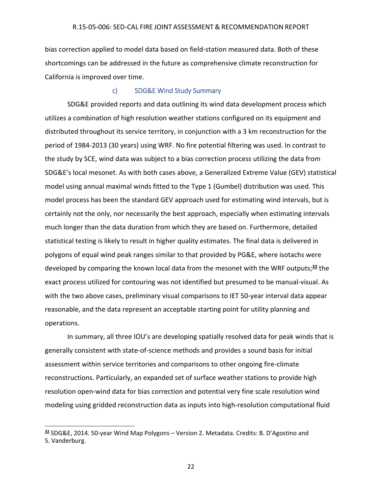bias correction applied to model data based on field‐station measured data. Both of these shortcomings can be addressed in the future as comprehensive climate reconstruction for California is improved over time.

### c) SDG&E Wind Study Summary

SDG&E provided reports and data outlining its wind data development process which utilizes a combination of high resolution weather stations configured on its equipment and distributed throughout its service territory, in conjunction with a 3 km reconstruction for the period of 1984‐2013 (30 years) using WRF. No fire potential filtering was used. In contrast to the study by SCE, wind data was subject to a bias correction process utilizing the data from SDG&E's local mesonet. As with both cases above, a Generalized Extreme Value (GEV) statistical model using annual maximal winds fitted to the Type 1 (Gumbel) distribution was used. This model process has been the standard GEV approach used for estimating wind intervals, but is certainly not the only, nor necessarily the best approach, especially when estimating intervals much longer than the data duration from which they are based on. Furthermore, detailed statistical testing is likely to result in higher quality estimates. The final data is delivered in polygons of equal wind peak ranges similar to that provided by PG&E, where isotachs were developed by comparing the known local data from the mesonet with the WRF outputs;**<sup>32</sup>** the exact process utilized for contouring was not identified but presumed to be manual‐visual. As with the two above cases, preliminary visual comparisons to IET 50-year interval data appear reasonable, and the data represent an acceptable starting point for utility planning and operations.

In summary, all three IOU's are developing spatially resolved data for peak winds that is generally consistent with state‐of‐science methods and provides a sound basis for initial assessment within service territories and comparisons to other ongoing fire‐climate reconstructions. Particularly, an expanded set of surface weather stations to provide high resolution open‐wind data for bias correction and potential very fine scale resolution wind modeling using gridded reconstruction data as inputs into high‐resolution computational fluid

**<sup>32</sup>** SDG&E, 2014. 50‐year Wind Map Polygons – Version 2. Metadata. Credits: B. D'Agostino and S. Vanderburg.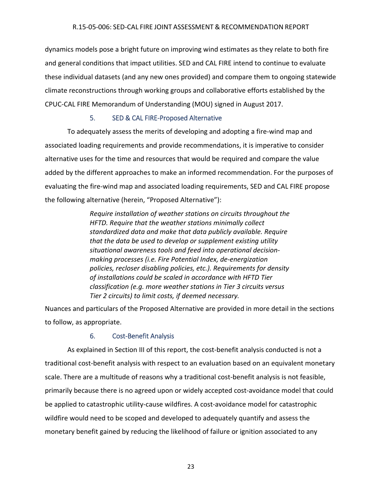dynamics models pose a bright future on improving wind estimates as they relate to both fire and general conditions that impact utilities. SED and CAL FIRE intend to continue to evaluate these individual datasets (and any new ones provided) and compare them to ongoing statewide climate reconstructions through working groups and collaborative efforts established by the CPUC‐CAL FIRE Memorandum of Understanding (MOU) signed in August 2017.

# 5. SED & CAL FIRE‐Proposed Alternative

To adequately assess the merits of developing and adopting a fire‐wind map and associated loading requirements and provide recommendations, it is imperative to consider alternative uses for the time and resources that would be required and compare the value added by the different approaches to make an informed recommendation. For the purposes of evaluating the fire‐wind map and associated loading requirements, SED and CAL FIRE propose the following alternative (herein, "Proposed Alternative"):

> *Require installation of weather stations on circuits throughout the HFTD. Require that the weather stations minimally collect standardized data and make that data publicly available. Require that the data be used to develop or supplement existing utility situational awareness tools and feed into operational decision‐ making processes (i.e. Fire Potential Index, de‐energization policies, recloser disabling policies, etc.). Requirements for density of installations could be scaled in accordance with HFTD Tier classification (e.g. more weather stations in Tier 3 circuits versus Tier 2 circuits) to limit costs, if deemed necessary.*

Nuances and particulars of the Proposed Alternative are provided in more detail in the sections to follow, as appropriate.

# 6. Cost‐Benefit Analysis

As explained in Section III of this report, the cost-benefit analysis conducted is not a traditional cost‐benefit analysis with respect to an evaluation based on an equivalent monetary scale. There are a multitude of reasons why a traditional cost-benefit analysis is not feasible, primarily because there is no agreed upon or widely accepted cost‐avoidance model that could be applied to catastrophic utility-cause wildfires. A cost-avoidance model for catastrophic wildfire would need to be scoped and developed to adequately quantify and assess the monetary benefit gained by reducing the likelihood of failure or ignition associated to any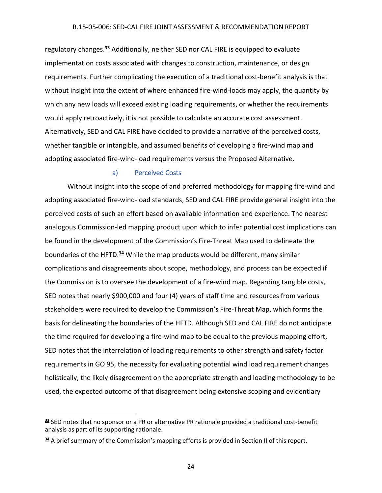regulatory changes.**<sup>33</sup>** Additionally, neither SED nor CAL FIRE is equipped to evaluate implementation costs associated with changes to construction, maintenance, or design requirements. Further complicating the execution of a traditional cost-benefit analysis is that without insight into the extent of where enhanced fire-wind-loads may apply, the quantity by which any new loads will exceed existing loading requirements, or whether the requirements would apply retroactively, it is not possible to calculate an accurate cost assessment. Alternatively, SED and CAL FIRE have decided to provide a narrative of the perceived costs, whether tangible or intangible, and assumed benefits of developing a fire-wind map and adopting associated fire‐wind‐load requirements versus the Proposed Alternative.

## a) Perceived Costs

Without insight into the scope of and preferred methodology for mapping fire-wind and adopting associated fire‐wind‐load standards, SED and CAL FIRE provide general insight into the perceived costs of such an effort based on available information and experience. The nearest analogous Commission‐led mapping product upon which to infer potential cost implications can be found in the development of the Commission's Fire‐Threat Map used to delineate the boundaries of the HFTD.**<sup>34</sup>** While the map products would be different, many similar complications and disagreements about scope, methodology, and process can be expected if the Commission is to oversee the development of a fire‐wind map. Regarding tangible costs, SED notes that nearly \$900,000 and four (4) years of staff time and resources from various stakeholders were required to develop the Commission's Fire‐Threat Map, which forms the basis for delineating the boundaries of the HFTD. Although SED and CAL FIRE do not anticipate the time required for developing a fire‐wind map to be equal to the previous mapping effort, SED notes that the interrelation of loading requirements to other strength and safety factor requirements in GO 95, the necessity for evaluating potential wind load requirement changes holistically, the likely disagreement on the appropriate strength and loading methodology to be used, the expected outcome of that disagreement being extensive scoping and evidentiary

**<sup>33</sup>** SED notes that no sponsor or a PR or alternative PR rationale provided a traditional cost‐benefit analysis as part of its supporting rationale.

**<sup>34</sup>** A brief summary of the Commission's mapping efforts is provided in Section II of this report.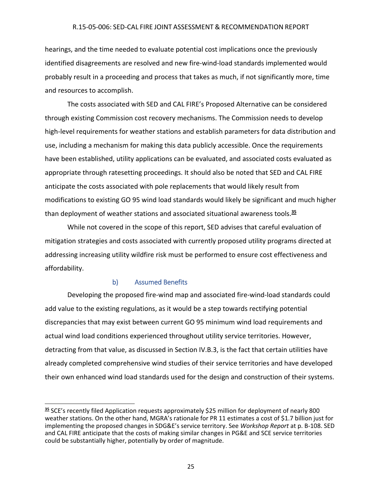hearings, and the time needed to evaluate potential cost implications once the previously identified disagreements are resolved and new fire‐wind‐load standards implemented would probably result in a proceeding and process that takes as much, if not significantly more, time and resources to accomplish.

The costs associated with SED and CAL FIRE's Proposed Alternative can be considered through existing Commission cost recovery mechanisms. The Commission needs to develop high-level requirements for weather stations and establish parameters for data distribution and use, including a mechanism for making this data publicly accessible. Once the requirements have been established, utility applications can be evaluated, and associated costs evaluated as appropriate through ratesetting proceedings. It should also be noted that SED and CAL FIRE anticipate the costs associated with pole replacements that would likely result from modifications to existing GO 95 wind load standards would likely be significant and much higher than deployment of weather stations and associated situational awareness tools.**<sup>35</sup>**

While not covered in the scope of this report, SED advises that careful evaluation of mitigation strategies and costs associated with currently proposed utility programs directed at addressing increasing utility wildfire risk must be performed to ensure cost effectiveness and affordability.

## b) Assumed Benefits

Developing the proposed fire‐wind map and associated fire‐wind‐load standards could add value to the existing regulations, as it would be a step towards rectifying potential discrepancies that may exist between current GO 95 minimum wind load requirements and actual wind load conditions experienced throughout utility service territories. However, detracting from that value, as discussed in Section IV.B.3, is the fact that certain utilities have already completed comprehensive wind studies of their service territories and have developed their own enhanced wind load standards used for the design and construction of their systems.

**<sup>35</sup>** SCE's recently filed Application requests approximately \$25 million for deployment of nearly 800 weather stations. On the other hand, MGRA's rationale for PR 11 estimates a cost of \$1.7 billion just for implementing the proposed changes in SDG&E's service territory. See *Workshop Report* at p. B‐108. SED and CAL FIRE anticipate that the costs of making similar changes in PG&E and SCE service territories could be substantially higher, potentially by order of magnitude.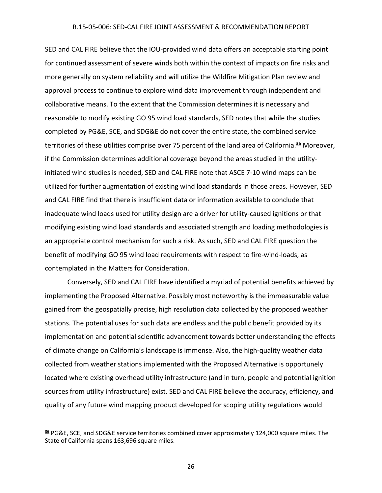SED and CAL FIRE believe that the IOU‐provided wind data offers an acceptable starting point for continued assessment of severe winds both within the context of impacts on fire risks and more generally on system reliability and will utilize the Wildfire Mitigation Plan review and approval process to continue to explore wind data improvement through independent and collaborative means. To the extent that the Commission determines it is necessary and reasonable to modify existing GO 95 wind load standards, SED notes that while the studies completed by PG&E, SCE, and SDG&E do not cover the entire state, the combined service territories of these utilities comprise over 75 percent of the land area of California.**<sup>36</sup>** Moreover, if the Commission determines additional coverage beyond the areas studied in the utility‐ initiated wind studies is needed, SED and CAL FIRE note that ASCE 7‐10 wind maps can be utilized for further augmentation of existing wind load standards in those areas. However, SED and CAL FIRE find that there is insufficient data or information available to conclude that inadequate wind loads used for utility design are a driver for utility‐caused ignitions or that modifying existing wind load standards and associated strength and loading methodologies is an appropriate control mechanism for such a risk. As such, SED and CAL FIRE question the benefit of modifying GO 95 wind load requirements with respect to fire‐wind‐loads, as contemplated in the Matters for Consideration.

Conversely, SED and CAL FIRE have identified a myriad of potential benefits achieved by implementing the Proposed Alternative. Possibly most noteworthy is the immeasurable value gained from the geospatially precise, high resolution data collected by the proposed weather stations. The potential uses for such data are endless and the public benefit provided by its implementation and potential scientific advancement towards better understanding the effects of climate change on California's landscape is immense. Also, the high‐quality weather data collected from weather stations implemented with the Proposed Alternative is opportunely located where existing overhead utility infrastructure (and in turn, people and potential ignition sources from utility infrastructure) exist. SED and CAL FIRE believe the accuracy, efficiency, and quality of any future wind mapping product developed for scoping utility regulations would

**<sup>36</sup>** PG&E, SCE, and SDG&E service territories combined cover approximately 124,000 square miles. The State of California spans 163,696 square miles.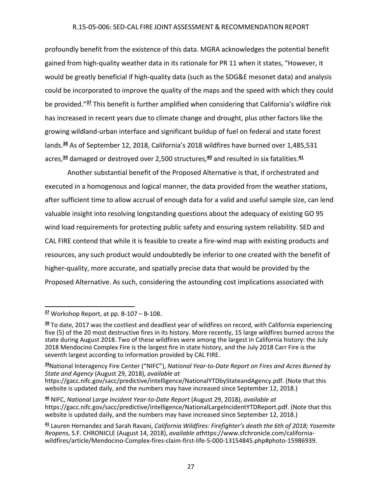profoundly benefit from the existence of this data. MGRA acknowledges the potential benefit gained from high‐quality weather data in its rationale for PR 11 when it states, "However, it would be greatly beneficial if high-quality data (such as the SDG&E mesonet data) and analysis could be incorporated to improve the quality of the maps and the speed with which they could be provided."**<sup>37</sup>** This benefit is further amplified when considering that California's wildfire risk has increased in recent years due to climate change and drought, plus other factors like the growing wildland‐urban interface and significant buildup of fuel on federal and state forest lands.**<sup>38</sup>** As of September 12, 2018, California's 2018 wildfires have burned over 1,485,531 acres,**<sup>39</sup>** damaged or destroyed over 2,500 structures,**<sup>40</sup>** and resulted in six fatalities.**<sup>41</sup>**

Another substantial benefit of the Proposed Alternative is that, if orchestrated and executed in a homogenous and logical manner, the data provided from the weather stations, after sufficient time to allow accrual of enough data for a valid and useful sample size, can lend valuable insight into resolving longstanding questions about the adequacy of existing GO 95 wind load requirements for protecting public safety and ensuring system reliability. SED and CAL FIRE contend that while it is feasible to create a fire‐wind map with existing products and resources, any such product would undoubtedly be inferior to one created with the benefit of higher-quality, more accurate, and spatially precise data that would be provided by the Proposed Alternative. As such, considering the astounding cost implications associated with

**<sup>37</sup>** Workshop Report, at pp. B‐107 – B‐108.

**<sup>38</sup>** To date, 2017 was the costliest and deadliest year of wildfires on record, with California experiencing five (5) of the 20 most destructive fires in its history. More recently, 15 large wildfires burned across the state during August 2018. Two of these wildfires were among the largest in California history: the July 2018 Mendocino Complex Fire is the largest fire in state history, and the July 2018 Carr Fire is the seventh largest according to information provided by CAL FIRE.

**<sup>39</sup>**National Interagency Fire Center ("NIFC"), *National Year‐to‐Date Report on Fires and Acres Burned by State and Agency* (August 29, 2018), *available at*

https://gacc.nifc.gov/sacc/predictive/intelligence/NationalYTDbyStateandAgency.pdf. (Note that this website is updated daily, and the numbers may have increased since September 12, 2018.)

**<sup>40</sup>** NIFC, *National Large Incident Year‐to‐Date Report* (August 29, 2018), *available at* https://gacc.nifc.gov/sacc/predictive/intelligence/NationalLargeIncidentYTDReport.pdf. (Note that this website is updated daily, and the numbers may have increased since September 12, 2018.)

**<sup>41</sup>** Lauren Hernandez and Sarah Ravani, *California Wildfires: Firefighter's death the 6th of 2018; Yosemite Reopens*, S.F. CHRONICLE (August 14, 2018), *available at*https://www.sfchronicle.com/california‐ wildfires/article/Mendocino‐Complex‐fires‐claim‐first‐life‐5‐000‐13154845.php#photo‐15986939.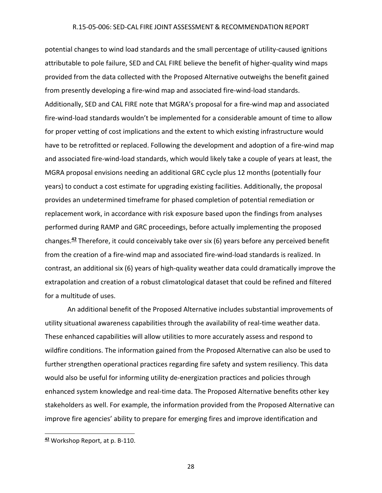potential changes to wind load standards and the small percentage of utility‐caused ignitions attributable to pole failure, SED and CAL FIRE believe the benefit of higher‐quality wind maps provided from the data collected with the Proposed Alternative outweighs the benefit gained from presently developing a fire‐wind map and associated fire‐wind‐load standards. Additionally, SED and CAL FIRE note that MGRA's proposal for a fire‐wind map and associated fire-wind-load standards wouldn't be implemented for a considerable amount of time to allow for proper vetting of cost implications and the extent to which existing infrastructure would have to be retrofitted or replaced. Following the development and adoption of a fire-wind map and associated fire-wind-load standards, which would likely take a couple of years at least, the MGRA proposal envisions needing an additional GRC cycle plus 12 months (potentially four years) to conduct a cost estimate for upgrading existing facilities. Additionally, the proposal provides an undetermined timeframe for phased completion of potential remediation or replacement work, in accordance with risk exposure based upon the findings from analyses performed during RAMP and GRC proceedings, before actually implementing the proposed changes.**<sup>42</sup>** Therefore, it could conceivably take over six (6) years before any perceived benefit from the creation of a fire-wind map and associated fire-wind-load standards is realized. In contrast, an additional six (6) years of high‐quality weather data could dramatically improve the extrapolation and creation of a robust climatological dataset that could be refined and filtered for a multitude of uses.

An additional benefit of the Proposed Alternative includes substantial improvements of utility situational awareness capabilities through the availability of real‐time weather data. These enhanced capabilities will allow utilities to more accurately assess and respond to wildfire conditions. The information gained from the Proposed Alternative can also be used to further strengthen operational practices regarding fire safety and system resiliency. This data would also be useful for informing utility de‐energization practices and policies through enhanced system knowledge and real‐time data. The Proposed Alternative benefits other key stakeholders as well. For example, the information provided from the Proposed Alternative can improve fire agencies' ability to prepare for emerging fires and improve identification and

 **<sup>42</sup>** Workshop Report, at p. B‐110.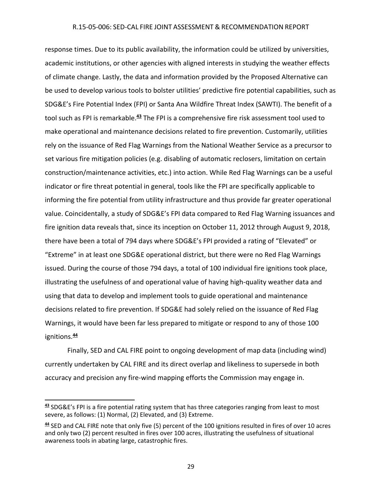response times. Due to its public availability, the information could be utilized by universities, academic institutions, or other agencies with aligned interests in studying the weather effects of climate change. Lastly, the data and information provided by the Proposed Alternative can be used to develop various tools to bolster utilities' predictive fire potential capabilities, such as SDG&E's Fire Potential Index (FPI) or Santa Ana Wildfire Threat Index (SAWTI). The benefit of a tool such as FPI is remarkable.**<sup>43</sup>** The FPI is a comprehensive fire risk assessment tool used to make operational and maintenance decisions related to fire prevention. Customarily, utilities rely on the issuance of Red Flag Warnings from the National Weather Service as a precursor to set various fire mitigation policies (e.g. disabling of automatic reclosers, limitation on certain construction/maintenance activities, etc.) into action. While Red Flag Warnings can be a useful indicator or fire threat potential in general, tools like the FPI are specifically applicable to informing the fire potential from utility infrastructure and thus provide far greater operational value. Coincidentally, a study of SDG&E's FPI data compared to Red Flag Warning issuances and fire ignition data reveals that, since its inception on October 11, 2012 through August 9, 2018, there have been a total of 794 days where SDG&E's FPI provided a rating of "Elevated" or "Extreme" in at least one SDG&E operational district, but there were no Red Flag Warnings issued. During the course of those 794 days, a total of 100 individual fire ignitions took place, illustrating the usefulness of and operational value of having high‐quality weather data and using that data to develop and implement tools to guide operational and maintenance decisions related to fire prevention. If SDG&E had solely relied on the issuance of Red Flag Warnings, it would have been far less prepared to mitigate or respond to any of those 100 ignitions.**<sup>44</sup>**

Finally, SED and CAL FIRE point to ongoing development of map data (including wind) currently undertaken by CAL FIRE and its direct overlap and likeliness to supersede in both accuracy and precision any fire‐wind mapping efforts the Commission may engage in.

**<sup>43</sup>** SDG&E's FPI is a fire potential rating system that has three categories ranging from least to most severe, as follows: (1) Normal, (2) Elevated, and (3) Extreme.

**<sup>44</sup>** SED and CAL FIRE note that only five (5) percent of the 100 ignitions resulted in fires of over 10 acres and only two (2) percent resulted in fires over 100 acres, illustrating the usefulness of situational awareness tools in abating large, catastrophic fires.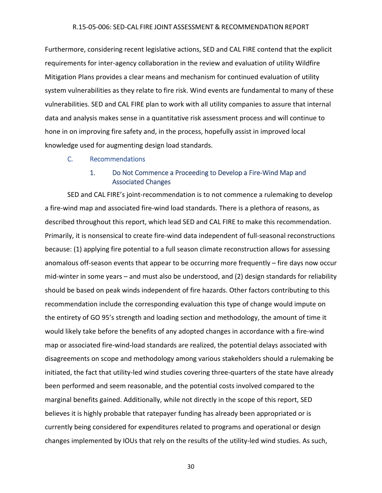Furthermore, considering recent legislative actions, SED and CAL FIRE contend that the explicit requirements for inter‐agency collaboration in the review and evaluation of utility Wildfire Mitigation Plans provides a clear means and mechanism for continued evaluation of utility system vulnerabilities as they relate to fire risk. Wind events are fundamental to many of these vulnerabilities. SED and CAL FIRE plan to work with all utility companies to assure that internal data and analysis makes sense in a quantitative risk assessment process and will continue to hone in on improving fire safety and, in the process, hopefully assist in improved local knowledge used for augmenting design load standards.

C. Recommendations

# 1. Do Not Commence a Proceeding to Develop a Fire‐Wind Map and Associated Changes

SED and CAL FIRE's joint‐recommendation is to not commence a rulemaking to develop a fire‐wind map and associated fire‐wind load standards. There is a plethora of reasons, as described throughout this report, which lead SED and CAL FIRE to make this recommendation. Primarily, it is nonsensical to create fire‐wind data independent of full‐seasonal reconstructions because: (1) applying fire potential to a full season climate reconstruction allows for assessing anomalous off‐season events that appear to be occurring more frequently – fire days now occur mid-winter in some years – and must also be understood, and (2) design standards for reliability should be based on peak winds independent of fire hazards. Other factors contributing to this recommendation include the corresponding evaluation this type of change would impute on the entirety of GO 95's strength and loading section and methodology, the amount of time it would likely take before the benefits of any adopted changes in accordance with a fire-wind map or associated fire‐wind‐load standards are realized, the potential delays associated with disagreements on scope and methodology among various stakeholders should a rulemaking be initiated, the fact that utility‐led wind studies covering three‐quarters of the state have already been performed and seem reasonable, and the potential costs involved compared to the marginal benefits gained. Additionally, while not directly in the scope of this report, SED believes it is highly probable that ratepayer funding has already been appropriated or is currently being considered for expenditures related to programs and operational or design changes implemented by IOUs that rely on the results of the utility-led wind studies. As such,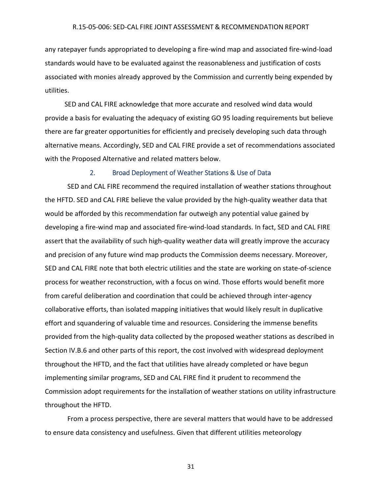any ratepayer funds appropriated to developing a fire‐wind map and associated fire‐wind‐load standards would have to be evaluated against the reasonableness and justification of costs associated with monies already approved by the Commission and currently being expended by utilities.

SED and CAL FIRE acknowledge that more accurate and resolved wind data would provide a basis for evaluating the adequacy of existing GO 95 loading requirements but believe there are far greater opportunities for efficiently and precisely developing such data through alternative means. Accordingly, SED and CAL FIRE provide a set of recommendations associated with the Proposed Alternative and related matters below.

#### 2. Broad Deployment of Weather Stations & Use of Data

SED and CAL FIRE recommend the required installation of weather stations throughout the HFTD. SED and CAL FIRE believe the value provided by the high‐quality weather data that would be afforded by this recommendation far outweigh any potential value gained by developing a fire‐wind map and associated fire‐wind‐load standards. In fact, SED and CAL FIRE assert that the availability of such high-quality weather data will greatly improve the accuracy and precision of any future wind map products the Commission deems necessary. Moreover, SED and CAL FIRE note that both electric utilities and the state are working on state‐of‐science process for weather reconstruction, with a focus on wind. Those efforts would benefit more from careful deliberation and coordination that could be achieved through inter-agency collaborative efforts, than isolated mapping initiatives that would likely result in duplicative effort and squandering of valuable time and resources. Considering the immense benefits provided from the high‐quality data collected by the proposed weather stations as described in Section IV.B.6 and other parts of this report, the cost involved with widespread deployment throughout the HFTD, and the fact that utilities have already completed or have begun implementing similar programs, SED and CAL FIRE find it prudent to recommend the Commission adopt requirements for the installation of weather stations on utility infrastructure throughout the HFTD.

From a process perspective, there are several matters that would have to be addressed to ensure data consistency and usefulness. Given that different utilities meteorology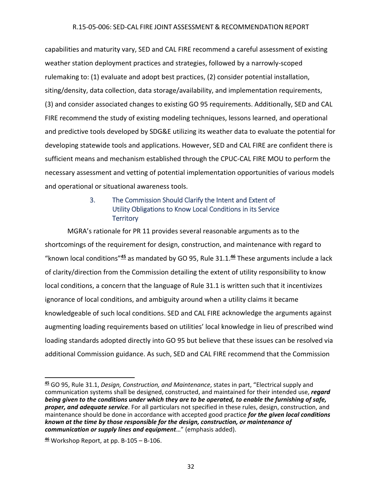capabilities and maturity vary, SED and CAL FIRE recommend a careful assessment of existing weather station deployment practices and strategies, followed by a narrowly-scoped rulemaking to: (1) evaluate and adopt best practices, (2) consider potential installation, siting/density, data collection, data storage/availability, and implementation requirements, (3) and consider associated changes to existing GO 95 requirements. Additionally, SED and CAL FIRE recommend the study of existing modeling techniques, lessons learned, and operational and predictive tools developed by SDG&E utilizing its weather data to evaluate the potential for developing statewide tools and applications. However, SED and CAL FIRE are confident there is sufficient means and mechanism established through the CPUC‐CAL FIRE MOU to perform the necessary assessment and vetting of potential implementation opportunities of various models and operational or situational awareness tools.

# 3. The Commission Should Clarify the Intent and Extent of Utility Obligations to Know Local Conditions in its Service **Territory**

MGRA's rationale for PR 11 provides several reasonable arguments as to the shortcomings of the requirement for design, construction, and maintenance with regard to "known local conditions"**<sup>45</sup>** as mandated by GO 95, Rule 31.1.**<sup>46</sup>** These arguments include a lack of clarity/direction from the Commission detailing the extent of utility responsibility to know local conditions, a concern that the language of Rule 31.1 is written such that it incentivizes ignorance of local conditions, and ambiguity around when a utility claims it became knowledgeable of such local conditions. SED and CAL FIRE acknowledge the arguments against augmenting loading requirements based on utilities' local knowledge in lieu of prescribed wind loading standards adopted directly into GO 95 but believe that these issues can be resolved via additional Commission guidance. As such, SED and CAL FIRE recommend that the Commission

 **<sup>45</sup>** GO 95, Rule 31.1, *Design, Construction, and Maintenance*, states in part, "Electrical supply and communication systems shall be designed, constructed, and maintained for their intended use, *regard* being given to the conditions under which they are to be operated, to enable the furnishing of safe, *proper, and adequate service*. For all particulars not specified in these rules, design, construction, and maintenance should be done in accordance with accepted good practice *for the given local conditions known at the time by those responsible for the design, construction, or maintenance of communication or supply lines and equipment*…" (emphasis added).

**<sup>46</sup>** Workshop Report, at pp. B‐105 – B‐106.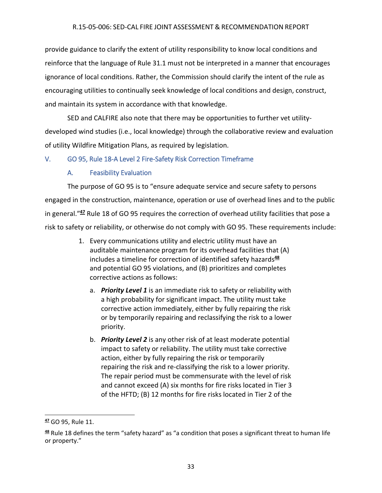provide guidance to clarify the extent of utility responsibility to know local conditions and reinforce that the language of Rule 31.1 must not be interpreted in a manner that encourages ignorance of local conditions. Rather, the Commission should clarify the intent of the rule as encouraging utilities to continually seek knowledge of local conditions and design, construct, and maintain its system in accordance with that knowledge.

SED and CALFIRE also note that there may be opportunities to further vet utility‐ developed wind studies (i.e., local knowledge) through the collaborative review and evaluation of utility Wildfire Mitigation Plans, as required by legislation.

# V. GO 95, Rule 18‐A Level 2 Fire‐Safety Risk Correction Timeframe

# A. Feasibility Evaluation

The purpose of GO 95 is to "ensure adequate service and secure safety to persons engaged in the construction, maintenance, operation or use of overhead lines and to the public in general."**<sup>47</sup>** Rule 18 of GO 95 requires the correction of overhead utility facilities that pose a risk to safety or reliability, or otherwise do not comply with GO 95. These requirements include:

- 1. Every communications utility and electric utility must have an auditable maintenance program for its overhead facilities that (A) includes a timeline for correction of identified safety hazards**<sup>48</sup>** and potential GO 95 violations, and (B) prioritizes and completes corrective actions as follows:
	- a. *Priority Level 1* is an immediate risk to safety or reliability with a high probability for significant impact. The utility must take corrective action immediately, either by fully repairing the risk or by temporarily repairing and reclassifying the risk to a lower priority.
	- b. *Priority Level 2* is any other risk of at least moderate potential impact to safety or reliability. The utility must take corrective action, either by fully repairing the risk or temporarily repairing the risk and re‐classifying the risk to a lower priority. The repair period must be commensurate with the level of risk and cannot exceed (A) six months for fire risks located in Tier 3 of the HFTD; (B) 12 months for fire risks located in Tier 2 of the

 **<sup>47</sup>** GO 95, Rule 11.

**<sup>48</sup>** Rule 18 defines the term "safety hazard" as "a condition that poses a significant threat to human life or property."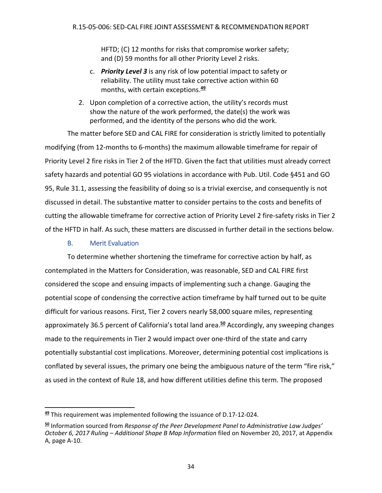HFTD; (C) 12 months for risks that compromise worker safety; and (D) 59 months for all other Priority Level 2 risks.

- c. *Priority Level 3* is any risk of low potential impact to safety or reliability. The utility must take corrective action within 60 months, with certain exceptions.**<sup>49</sup>**
- 2. Upon completion of a corrective action, the utility's records must show the nature of the work performed, the date(s) the work was performed, and the identity of the persons who did the work.

The matter before SED and CAL FIRE for consideration is strictly limited to potentially modifying (from 12‐months to 6‐months) the maximum allowable timeframe for repair of Priority Level 2 fire risks in Tier 2 of the HFTD. Given the fact that utilities must already correct safety hazards and potential GO 95 violations in accordance with Pub. Util. Code §451 and GO 95, Rule 31.1, assessing the feasibility of doing so is a trivial exercise, and consequently is not discussed in detail. The substantive matter to consider pertains to the costs and benefits of cutting the allowable timeframe for corrective action of Priority Level 2 fire-safety risks in Tier 2 of the HFTD in half. As such, these matters are discussed in further detail in the sections below.

# B. Merit Evaluation

To determine whether shortening the timeframe for corrective action by half, as contemplated in the Matters for Consideration, was reasonable, SED and CAL FIRE first considered the scope and ensuing impacts of implementing such a change. Gauging the potential scope of condensing the corrective action timeframe by half turned out to be quite difficult for various reasons. First, Tier 2 covers nearly 58,000 square miles, representing approximately 36.5 percent of California's total land area.**<sup>50</sup>** Accordingly, any sweeping changes made to the requirements in Tier 2 would impact over one-third of the state and carry potentially substantial cost implications. Moreover, determining potential cost implications is conflated by several issues, the primary one being the ambiguous nature of the term "fire risk," as used in the context of Rule 18, and how different utilities define this term. The proposed

**<sup>49</sup>** This requirement was implemented following the issuance of D.17‐12‐024.

**<sup>50</sup>** Information sourced from *Response of the Peer Development Panel to Administrative Law Judges' October 6, 2017 Ruling – Additional Shape B Map Information* filed on November 20, 2017, at Appendix A, page A‐10.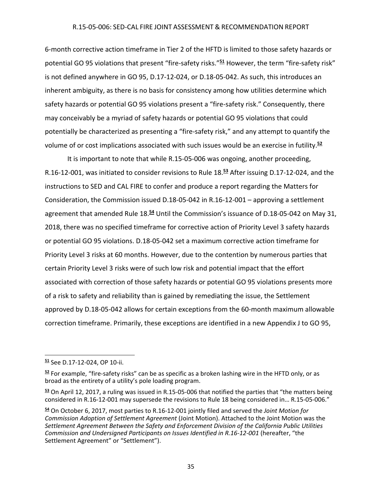6‐month corrective action timeframe in Tier 2 of the HFTD is limited to those safety hazards or potential GO 95 violations that present "fire-safety risks."<sup>51</sup> However, the term "fire-safety risk" is not defined anywhere in GO 95, D.17‐12‐024, or D.18‐05‐042. As such, this introduces an inherent ambiguity, as there is no basis for consistency among how utilities determine which safety hazards or potential GO 95 violations present a "fire-safety risk." Consequently, there may conceivably be a myriad of safety hazards or potential GO 95 violations that could potentially be characterized as presenting a "fire‐safety risk," and any attempt to quantify the volume of or cost implications associated with such issues would be an exercise in futility.**<sup>52</sup>**

It is important to note that while R.15‐05‐006 was ongoing, another proceeding, R.16‐12‐001, was initiated to consider revisions to Rule 18.**<sup>53</sup>** After issuing D.17‐12‐024, and the instructions to SED and CAL FIRE to confer and produce a report regarding the Matters for Consideration, the Commission issued D.18‐05‐042 in R.16‐12‐001 – approving a settlement agreement that amended Rule 18.**<sup>54</sup>** Until the Commission's issuance of D.18‐05‐042 on May 31, 2018, there was no specified timeframe for corrective action of Priority Level 3 safety hazards or potential GO 95 violations. D.18‐05‐042 set a maximum corrective action timeframe for Priority Level 3 risks at 60 months. However, due to the contention by numerous parties that certain Priority Level 3 risks were of such low risk and potential impact that the effort associated with correction of those safety hazards or potential GO 95 violations presents more of a risk to safety and reliability than is gained by remediating the issue, the Settlement approved by D.18‐05‐042 allows for certain exceptions from the 60‐month maximum allowable correction timeframe. Primarily, these exceptions are identified in a new Appendix J to GO 95,

**<sup>51</sup>** See D.17‐12‐024, OP 10‐ii.

**<sup>52</sup>** For example, "fire‐safety risks" can be as specific as a broken lashing wire in the HFTD only, or as broad as the entirety of a utility's pole loading program.

**<sup>53</sup>** On April 12, 2017, a ruling was issued in R.15‐05‐006 that notified the parties that "the matters being considered in R.16‐12‐001 may supersede the revisions to Rule 18 being considered in… R.15‐05‐006."

**<sup>54</sup>** On October 6, 2017, most parties to R.16‐12‐001 jointly filed and served the *Joint Motion for Commission Adoption of Settlement Agreement* (Joint Motion). Attached to the Joint Motion was the *Settlement Agreement Between the Safety and Enforcement Division of the California Public Utilities Commission and Undersigned Participants on Issues Identified in R.16‐12‐001* (hereafter, "the Settlement Agreement" or "Settlement").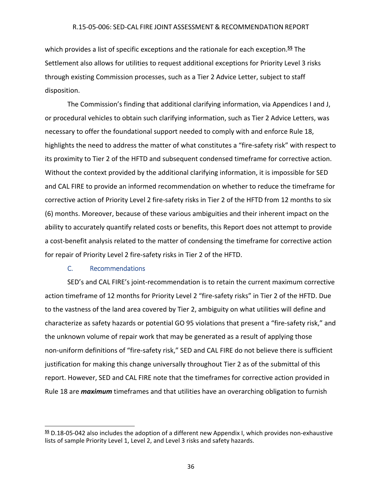which provides a list of specific exceptions and the rationale for each exception.**<sup>55</sup>** The Settlement also allows for utilities to request additional exceptions for Priority Level 3 risks through existing Commission processes, such as a Tier 2 Advice Letter, subject to staff disposition.

The Commission's finding that additional clarifying information, via Appendices I and J, or procedural vehicles to obtain such clarifying information, such as Tier 2 Advice Letters, was necessary to offer the foundational support needed to comply with and enforce Rule 18, highlights the need to address the matter of what constitutes a "fire-safety risk" with respect to its proximity to Tier 2 of the HFTD and subsequent condensed timeframe for corrective action. Without the context provided by the additional clarifying information, it is impossible for SED and CAL FIRE to provide an informed recommendation on whether to reduce the timeframe for corrective action of Priority Level 2 fire-safety risks in Tier 2 of the HFTD from 12 months to six (6) months. Moreover, because of these various ambiguities and their inherent impact on the ability to accurately quantify related costs or benefits, this Report does not attempt to provide a cost-benefit analysis related to the matter of condensing the timeframe for corrective action for repair of Priority Level 2 fire‐safety risks in Tier 2 of the HFTD.

# C. Recommendations

SED's and CAL FIRE's joint‐recommendation is to retain the current maximum corrective action timeframe of 12 months for Priority Level 2 "fire‐safety risks" in Tier 2 of the HFTD. Due to the vastness of the land area covered by Tier 2, ambiguity on what utilities will define and characterize as safety hazards or potential GO 95 violations that present a "fire‐safety risk," and the unknown volume of repair work that may be generated as a result of applying those non-uniform definitions of "fire-safety risk," SED and CAL FIRE do not believe there is sufficient justification for making this change universally throughout Tier 2 as of the submittal of this report. However, SED and CAL FIRE note that the timeframes for corrective action provided in Rule 18 are *maximum* timeframes and that utilities have an overarching obligation to furnish

**<sup>55</sup>** D.18‐05‐042 also includes the adoption of a different new Appendix I, which provides non‐exhaustive lists of sample Priority Level 1, Level 2, and Level 3 risks and safety hazards.